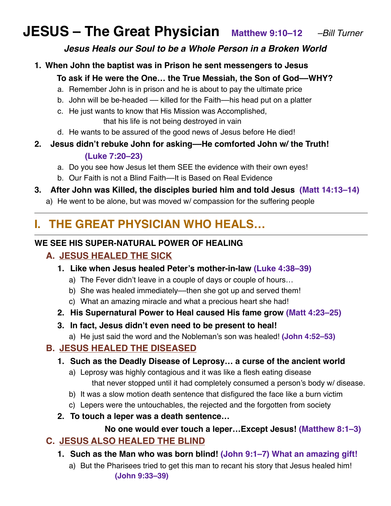# **JESUS – The Great Physician Matthew 9:10–12** *–Bill Turner*

#### *Jesus Heals our Soul to be a Whole Person in a Broken World*

- **1. When John the baptist was in Prison he sent messengers to Jesus To ask if He were the One… the True Messiah, the Son of God––WHY?**
	- a. Remember John is in prison and he is about to pay the ultimate price
	- b. John will be be-headed killed for the Faith—his head put on a platter
	- c. He just wants to know that His Mission was Accomplished,
		- that his life is not being destroyed in vain
	- d. He wants to be assured of the good news of Jesus before He died!
- **2. Jesus didn't rebuke John for asking––He comforted John w/ the Truth! (Luke 7:20–23)** 
	- a. Do you see how Jesus let them SEE the evidence with their own eyes!
	- b. Our Faith is not a Blind Faith––It is Based on Real Evidence
- **3. After John was Killed, the disciples buried him and told Jesus (Matt 14:13–14)**
	- a) He went to be alone, but was moved w/ compassion for the suffering people

## **I. THE GREAT PHYSICIAN WHO HEALS…**

#### **WE SEE HIS SUPER-NATURAL POWER OF HEALING**

## **A. JESUS HEALED THE SICK**

- **1. Like when Jesus healed Peter's mother-in-law (Luke 4:38–39)**
	- a) The Fever didn't leave in a couple of days or couple of hours…
	- b) She was healed immediately—then she got up and served them!
	- c) What an amazing miracle and what a precious heart she had!
- **2. His Supernatural Power to Heal caused His fame grow (Matt 4:23–25)**
- **3. In fact, Jesus didn't even need to be present to heal!**
	- a) He just said the word and the Nobleman's son was healed! **(John 4:52–53)**

## **B. JESUS HEALED THE DISEASED**

#### **1. Such as the Deadly Disease of Leprosy… a curse of the ancient world**

- a) Leprosy was highly contagious and it was like a flesh eating disease that never stopped until it had completely consumed a person's body w/ disease.
- b) It was a slow motion death sentence that disfigured the face like a burn victim
- c) Lepers were the untouchables, the rejected and the forgotten from society
- **2. To touch a leper was a death sentence…**

#### **No one would ever touch a leper…Except Jesus! (Matthew 8:1–3)**

## **C. JESUS ALSO HEALED THE BLIND**

- **1. Such as the Man who was born blind! (John 9:1–7) What an amazing gift!**
	- a) But the Pharisees tried to get this man to recant his story that Jesus healed him! **(John 9:33–39)**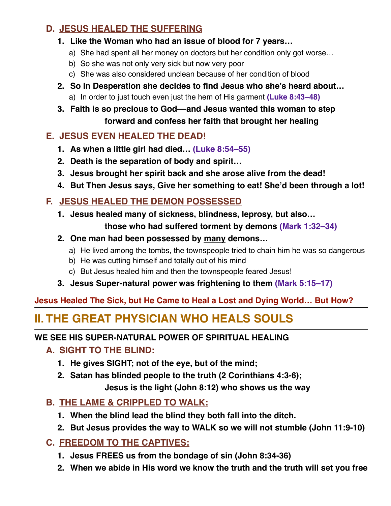## **D. JESUS HEALED THE SUFFERING**

- **1. Like the Woman who had an issue of blood for 7 years…**
	- a) She had spent all her money on doctors but her condition only got worse…
	- b) So she was not only very sick but now very poor
	- c) She was also considered unclean because of her condition of blood
- **2. So In Desperation she decides to find Jesus who she's heard about…**
	- a) In order to just touch even just the hem of His garment **(Luke 8:43–48)**

## **3. Faith is so precious to God––and Jesus wanted this woman to step forward and confess her faith that brought her healing**

## **E. JESUS EVEN HEALED THE DEAD!**

- **1. As when a little girl had died… (Luke 8:54–55)**
- **2. Death is the separation of body and spirit…**
- **3. Jesus brought her spirit back and she arose alive from the dead!**
- **4. But Then Jesus says, Give her something to eat! She'd been through a lot!**

## **F. JESUS HEALED THE DEMON POSSESSED**

**1. Jesus healed many of sickness, blindness, leprosy, but also…** 

**those who had suffered torment by demons (Mark 1:32–34)**

- **2. One man had been possessed by many demons…** 
	- a) He lived among the tombs, the townspeople tried to chain him he was so dangerous
	- b) He was cutting himself and totally out of his mind
	- c) But Jesus healed him and then the townspeople feared Jesus!
- **3. Jesus Super-natural power was frightening to them (Mark 5:15–17)**

**Jesus Healed The Sick, but He Came to Heal a Lost and Dying World… But How?**

## **II. THE GREAT PHYSICIAN WHO HEALS SOULS**

#### **WE SEE HIS SUPER-NATURAL POWER OF SPIRITUAL HEALING**

## **A. SIGHT TO THE BLIND:**

- **1. He gives SIGHT; not of the eye, but of the mind;**
- **2. Satan has blinded people to the truth (2 Corinthians 4:3-6); Jesus is the light (John 8:12) who shows us the way**

## **B. THE LAME & CRIPPLED TO WALK:**

- **1. When the blind lead the blind they both fall into the ditch.**
- **2. But Jesus provides the way to WALK so we will not stumble (John 11:9-10)**

## **C. FREEDOM TO THE CAPTIVES:**

- **1. Jesus FREES us from the bondage of sin (John 8:34-36)**
- **2. When we abide in His word we know the truth and the truth will set you free**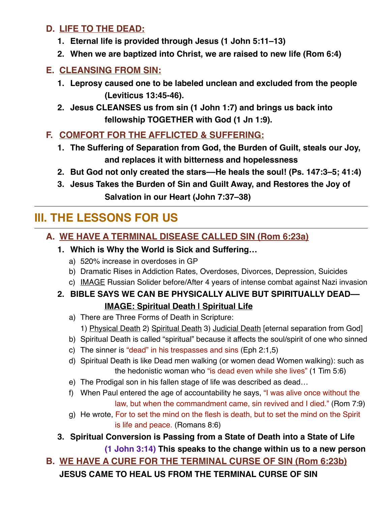#### **D. LIFE TO THE DEAD:**

- **1. Eternal life is provided through Jesus (1 John 5:11–13)**
- **2. When we are baptized into Christ, we are raised to new life (Rom 6:4)**

#### **E. CLEANSING FROM SIN:**

- **1. Leprosy caused one to be labeled unclean and excluded from the people (Leviticus 13:45-46).**
- **2. Jesus CLEANSES us from sin (1 John 1:7) and brings us back into fellowship TOGETHER with God (1 Jn 1:9).**
- **F. COMFORT FOR THE AFFLICTED & SUFFERING:** 
	- **1. The Suffering of Separation from God, the Burden of Guilt, steals our Joy, and replaces it with bitterness and hopelessness**
	- **2. But God not only created the stars––He heals the soul! (Ps. 147:3–5; 41:4)**
	- **3. Jesus Takes the Burden of Sin and Guilt Away, and Restores the Joy of Salvation in our Heart (John 7:37–38)**

## **III. THE LESSONS FOR US**

#### **A. WE HAVE A TERMINAL DISEASE CALLED SIN (Rom 6:23a)**

- **1. Which is Why the World is Sick and Suffering…**
	- a) 520% increase in overdoses in GP
	- b) Dramatic Rises in Addiction Rates, Overdoses, Divorces, Depression, Suicides
	- c) IMAGE Russian Solider before/After 4 years of intense combat against Nazi invasion

## **2. BIBLE SAYS WE CAN BE PHYSICALLY ALIVE BUT SPIRITUALLY DEAD–– IMAGE: Spiritual Death | Spiritual Life**

a) There are Three Forms of Death in Scripture:

1) Physical Death 2) Spiritual Death 3) Judicial Death [eternal separation from God]

- b) Spiritual Death is called "spiritual" because it affects the soul/spirit of one who sinned
- c) The sinner is "dead" in his trespasses and sins (Eph 2:1,5)
- d) Spiritual Death is like Dead men walking (or women dead Women walking): such as the hedonistic woman who "is dead even while she lives" (1 Tim 5:6)
- e) The Prodigal son in his fallen stage of life was described as dead…
- f) When Paul entered the age of accountability he says, "I was alive once without the law, but when the commandment came, sin revived and I died." (Rom 7:9)
- g) He wrote, For to set the mind on the flesh is death, but to set the mind on the Spirit is life and peace. (Romans 8:6)
- **3. Spiritual Conversion is Passing from a State of Death into a State of Life (1 John 3:14) This speaks to the change within us to a new person**

**B. WE HAVE A CURE FOR THE TERMINAL CURSE OF SIN (Rom 6:23b)**

**JESUS CAME TO HEAL US FROM THE TERMINAL CURSE OF SIN**